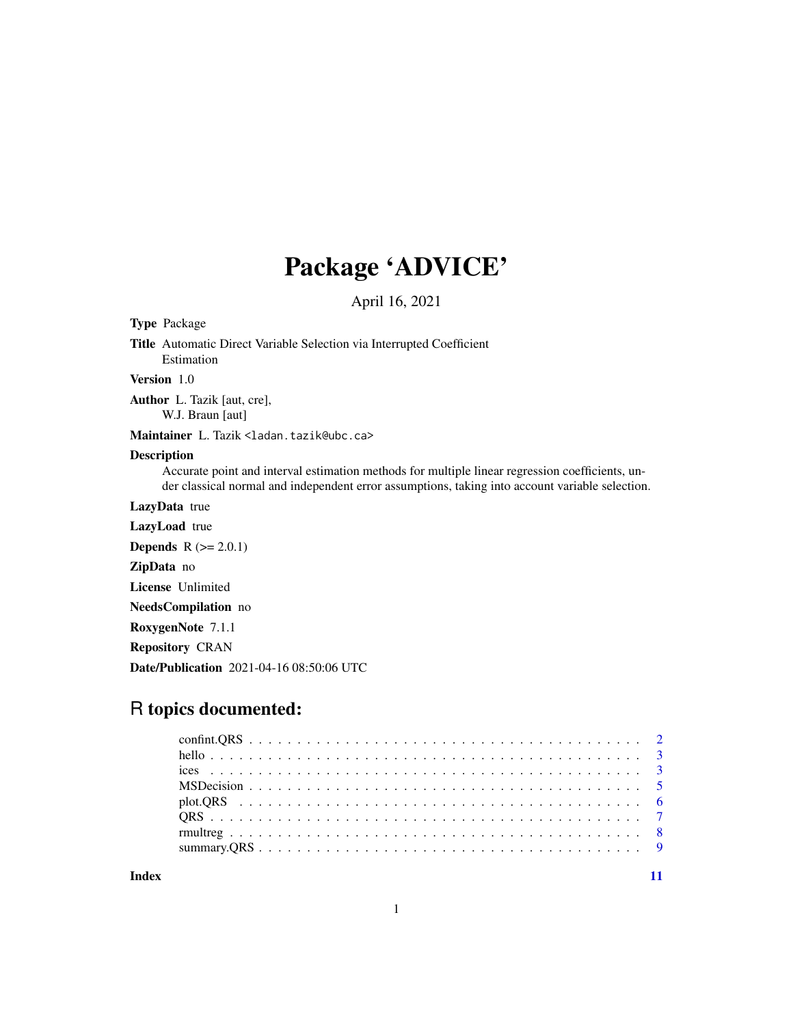## Package 'ADVICE'

April 16, 2021

Type Package

Title Automatic Direct Variable Selection via Interrupted Coefficient Estimation

Version 1.0

Author L. Tazik [aut, cre], W.J. Braun [aut]

Maintainer L. Tazik <ladan.tazik@ubc.ca>

#### Description

Accurate point and interval estimation methods for multiple linear regression coefficients, under classical normal and independent error assumptions, taking into account variable selection.

LazyData true

LazyLoad true

**Depends**  $R$  ( $>= 2.0.1$ )

ZipData no

License Unlimited

NeedsCompilation no

RoxygenNote 7.1.1

Repository CRAN

Date/Publication 2021-04-16 08:50:06 UTC

### R topics documented:

**Index** [11](#page-10-0)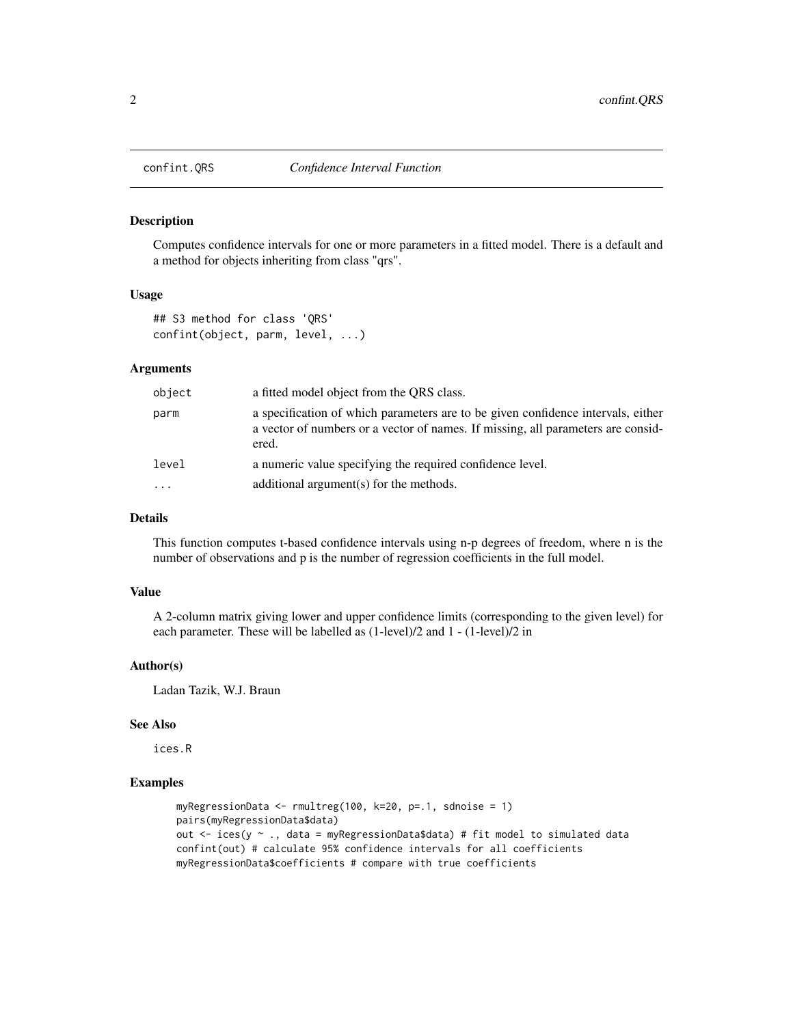<span id="page-1-0"></span>

#### Description

Computes confidence intervals for one or more parameters in a fitted model. There is a default and a method for objects inheriting from class "qrs".

#### Usage

```
## S3 method for class 'QRS'
confint(object, parm, level, ...)
```
#### Arguments

| object              | a fitted model object from the ORS class.                                                                                                                                     |
|---------------------|-------------------------------------------------------------------------------------------------------------------------------------------------------------------------------|
| parm                | a specification of which parameters are to be given confidence intervals, either<br>a vector of numbers or a vector of names. If missing, all parameters are consid-<br>ered. |
| level               | a numeric value specifying the required confidence level.                                                                                                                     |
| $\cdot \cdot \cdot$ | additional argument(s) for the methods.                                                                                                                                       |

#### Details

This function computes t-based confidence intervals using n-p degrees of freedom, where n is the number of observations and p is the number of regression coefficients in the full model.

#### Value

A 2-column matrix giving lower and upper confidence limits (corresponding to the given level) for each parameter. These will be labelled as (1-level)/2 and 1 - (1-level)/2 in

#### Author(s)

Ladan Tazik, W.J. Braun

#### See Also

ices.R

#### Examples

```
myRegressionData <- rmultreg(100, k=20, p=.1, sdnoise = 1)
pairs(myRegressionData$data)
out \le ices(y \sim ., data = myRegressionData$data) # fit model to simulated data
confint(out) # calculate 95% confidence intervals for all coefficients
myRegressionData$coefficients # compare with true coefficients
```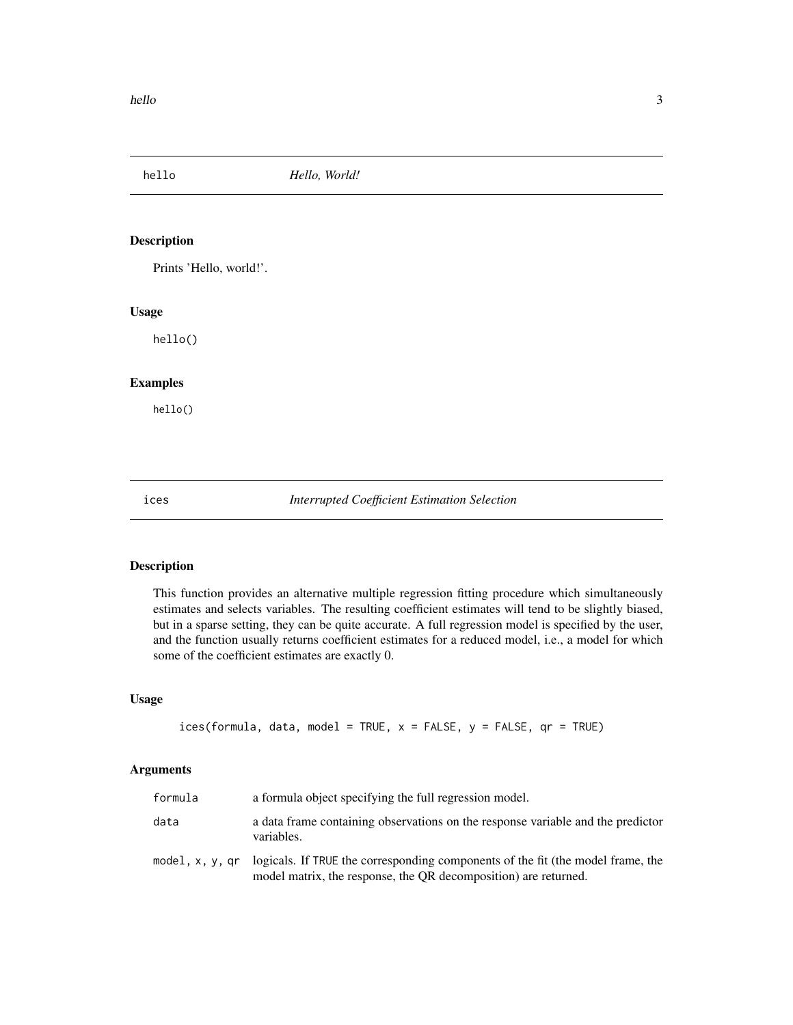<span id="page-2-0"></span>hello *Hello, World!*

#### Description

Prints 'Hello, world!'.

#### Usage

hello()

#### Examples

hello()

ices *Interrupted Coefficient Estimation Selection*

#### Description

This function provides an alternative multiple regression fitting procedure which simultaneously estimates and selects variables. The resulting coefficient estimates will tend to be slightly biased, but in a sparse setting, they can be quite accurate. A full regression model is specified by the user, and the function usually returns coefficient estimates for a reduced model, i.e., a model for which some of the coefficient estimates are exactly 0.

#### Usage

```
ices(formula, data, model = TRUE, x = FALSE, y = FALSE, qr = TRUE)
```
#### Arguments

| formula         | a formula object specifying the full regression model.                                                                                             |
|-----------------|----------------------------------------------------------------------------------------------------------------------------------------------------|
| data            | a data frame containing observations on the response variable and the predictor<br>variables.                                                      |
| model, x, y, gr | logicals. If TRUE the corresponding components of the fit (the model frame, the<br>model matrix, the response, the QR decomposition) are returned. |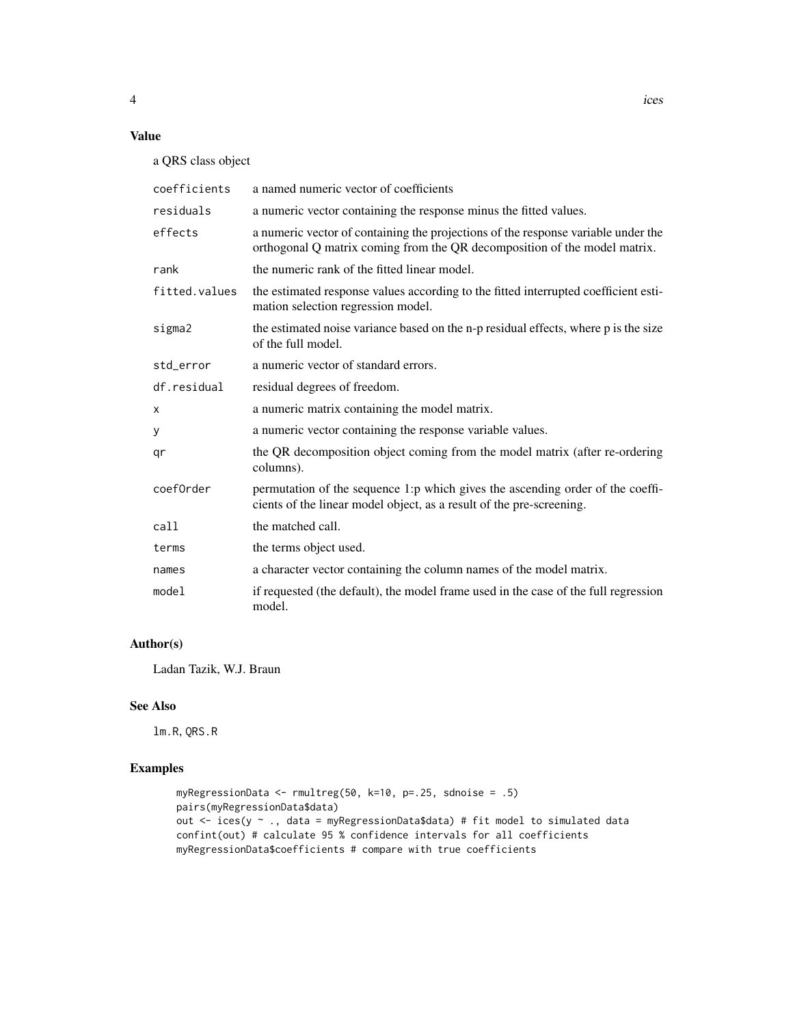#### Value

a QRS class object

| coefficients  | a named numeric vector of coefficients                                                                                                                         |
|---------------|----------------------------------------------------------------------------------------------------------------------------------------------------------------|
| residuals     | a numeric vector containing the response minus the fitted values.                                                                                              |
| effects       | a numeric vector of containing the projections of the response variable under the<br>orthogonal Q matrix coming from the QR decomposition of the model matrix. |
| rank          | the numeric rank of the fitted linear model.                                                                                                                   |
| fitted.values | the estimated response values according to the fitted interrupted coefficient esti-<br>mation selection regression model.                                      |
| sigma2        | the estimated noise variance based on the n-p residual effects, where p is the size<br>of the full model.                                                      |
| std_error     | a numeric vector of standard errors.                                                                                                                           |
| df.residual   | residual degrees of freedom.                                                                                                                                   |
| X             | a numeric matrix containing the model matrix.                                                                                                                  |
| у             | a numeric vector containing the response variable values.                                                                                                      |
| qr            | the QR decomposition object coming from the model matrix (after re-ordering<br>columns).                                                                       |
| coef0rder     | permutation of the sequence 1:p which gives the ascending order of the coeffi-<br>cients of the linear model object, as a result of the pre-screening.         |
| call          | the matched call.                                                                                                                                              |
| terms         | the terms object used.                                                                                                                                         |
| names         | a character vector containing the column names of the model matrix.                                                                                            |
| model         | if requested (the default), the model frame used in the case of the full regression<br>model.                                                                  |

#### Author(s)

Ladan Tazik, W.J. Braun

#### See Also

lm.R, QRS.R

#### Examples

```
myRegressionData <- rmultreg(50, k=10, p=.25, sdnoise = .5)
pairs(myRegressionData$data)
out <- ices(y ~ ., data = myRegressionData$data) # fit model to simulated data
confint(out) # calculate 95 % confidence intervals for all coefficients
myRegressionData$coefficients # compare with true coefficients
```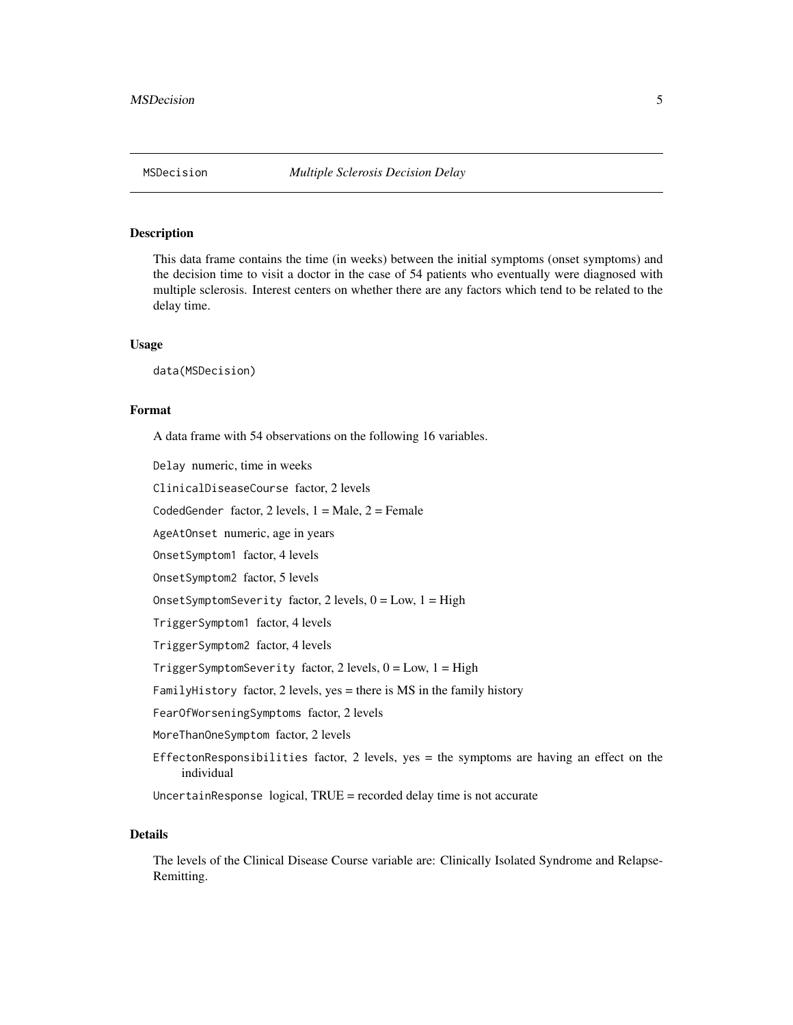#### <span id="page-4-0"></span>**Description**

This data frame contains the time (in weeks) between the initial symptoms (onset symptoms) and the decision time to visit a doctor in the case of 54 patients who eventually were diagnosed with multiple sclerosis. Interest centers on whether there are any factors which tend to be related to the delay time.

#### Usage

data(MSDecision)

#### Format

A data frame with 54 observations on the following 16 variables.

Delay numeric, time in weeks

ClinicalDiseaseCourse factor, 2 levels

CodedGender factor,  $2$  levels,  $1 =$  Male,  $2 =$  Female

AgeAtOnset numeric, age in years

OnsetSymptom1 factor, 4 levels

OnsetSymptom2 factor, 5 levels

OnsetSymptomSeverity factor,  $2$  levels,  $0 = Low$ ,  $1 = High$ 

TriggerSymptom1 factor, 4 levels

TriggerSymptom2 factor, 4 levels

TriggerSymptomSeverity factor, 2 levels,  $0 = Low$ ,  $1 = High$ 

FamilyHistory factor, 2 levels, yes = there is MS in the family history

FearOfWorseningSymptoms factor, 2 levels

MoreThanOneSymptom factor, 2 levels

EffectonResponsibilities factor,  $2$  levels, yes = the symptoms are having an effect on the individual

UncertainResponse logical, TRUE = recorded delay time is not accurate

#### Details

The levels of the Clinical Disease Course variable are: Clinically Isolated Syndrome and Relapse-Remitting.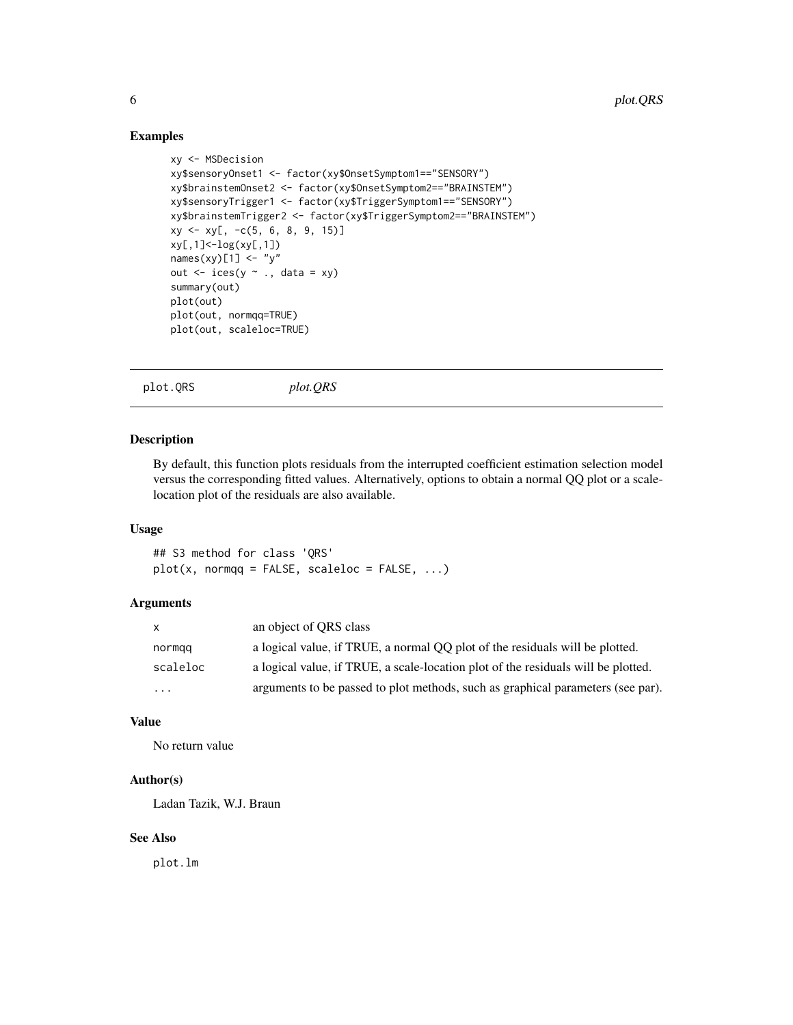#### Examples

```
xy <- MSDecision
xy$sensoryOnset1 <- factor(xy$OnsetSymptom1=="SENSORY")
xy$brainstemOnset2 <- factor(xy$OnsetSymptom2=="BRAINSTEM")
xy$sensoryTrigger1 <- factor(xy$TriggerSymptom1=="SENSORY")
xy$brainstemTrigger2 <- factor(xy$TriggerSymptom2=="BRAINSTEM")
xy \leq -xy[, -c(5, 6, 8, 9, 15)]xy[,1]<-log(xy[,1])
names(xy)[1] \leftarrow "y"
out \le ices(y \sim ., data = xy)
summary(out)
plot(out)
plot(out, normqq=TRUE)
plot(out, scaleloc=TRUE)
```
plot.QRS *plot.QRS*

#### Description

By default, this function plots residuals from the interrupted coefficient estimation selection model versus the corresponding fitted values. Alternatively, options to obtain a normal QQ plot or a scalelocation plot of the residuals are also available.

#### Usage

## S3 method for class 'QRS'  $plot(x, normqq = FALSE, scaleloc = FALSE, ...)$ 

#### Arguments

| X        | an object of ORS class                                                            |
|----------|-----------------------------------------------------------------------------------|
| normqq   | a logical value, if TRUE, a normal OO plot of the residuals will be plotted.      |
| scaleloc | a logical value, if TRUE, a scale-location plot of the residuals will be plotted. |
| $\cdots$ | arguments to be passed to plot methods, such as graphical parameters (see par).   |

#### Value

No return value

#### Author(s)

Ladan Tazik, W.J. Braun

#### See Also

plot.lm

<span id="page-5-0"></span>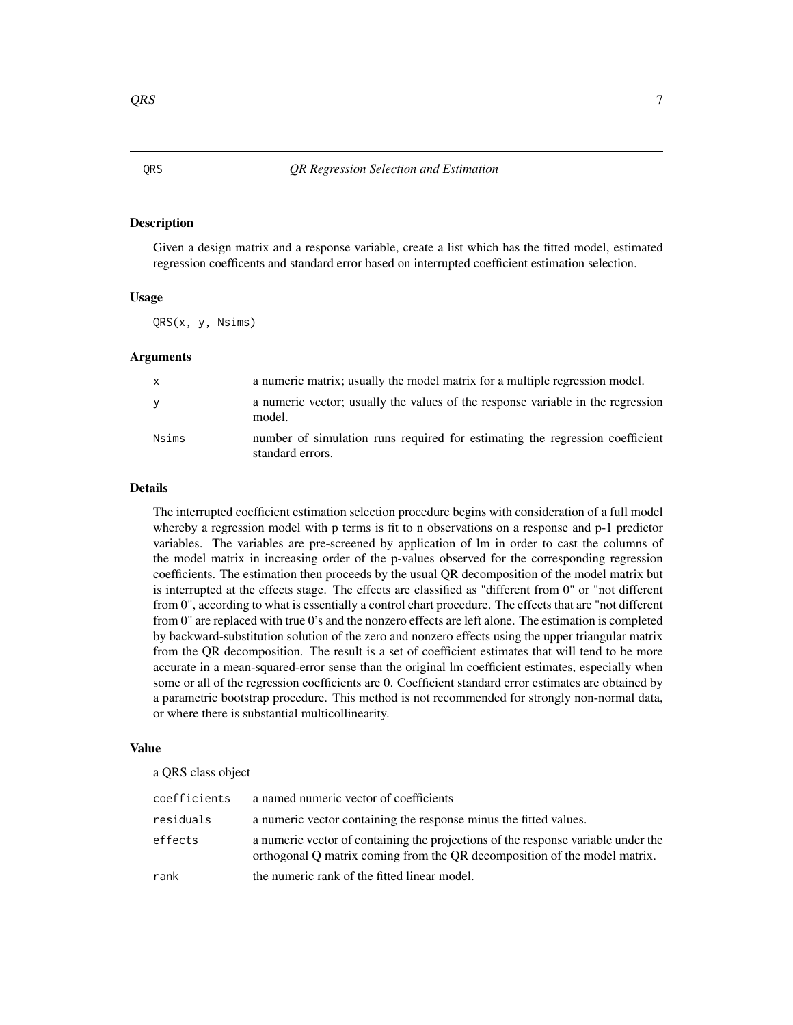#### <span id="page-6-0"></span>Description

Given a design matrix and a response variable, create a list which has the fitted model, estimated regression coefficents and standard error based on interrupted coefficient estimation selection.

#### Usage

QRS(x, y, Nsims)

#### Arguments

| $\mathsf{x}$ | a numeric matrix; usually the model matrix for a multiple regression model.                      |
|--------------|--------------------------------------------------------------------------------------------------|
| <b>V</b>     | a numeric vector; usually the values of the response variable in the regression<br>model.        |
| Nsims        | number of simulation runs required for estimating the regression coefficient<br>standard errors. |

#### Details

The interrupted coefficient estimation selection procedure begins with consideration of a full model whereby a regression model with p terms is fit to n observations on a response and p-1 predictor variables. The variables are pre-screened by application of lm in order to cast the columns of the model matrix in increasing order of the p-values observed for the corresponding regression coefficients. The estimation then proceeds by the usual QR decomposition of the model matrix but is interrupted at the effects stage. The effects are classified as "different from 0" or "not different from 0", according to what is essentially a control chart procedure. The effects that are "not different from 0" are replaced with true 0's and the nonzero effects are left alone. The estimation is completed by backward-substitution solution of the zero and nonzero effects using the upper triangular matrix from the QR decomposition. The result is a set of coefficient estimates that will tend to be more accurate in a mean-squared-error sense than the original lm coefficient estimates, especially when some or all of the regression coefficients are 0. Coefficient standard error estimates are obtained by a parametric bootstrap procedure. This method is not recommended for strongly non-normal data, or where there is substantial multicollinearity.

#### Value

a QRS class object

| coefficients | a named numeric vector of coefficients                                                                                                                         |
|--------------|----------------------------------------------------------------------------------------------------------------------------------------------------------------|
| residuals    | a numeric vector containing the response minus the fitted values.                                                                                              |
| effects      | a numeric vector of containing the projections of the response variable under the<br>orthogonal O matrix coming from the OR decomposition of the model matrix. |
| rank         | the numeric rank of the fitted linear model.                                                                                                                   |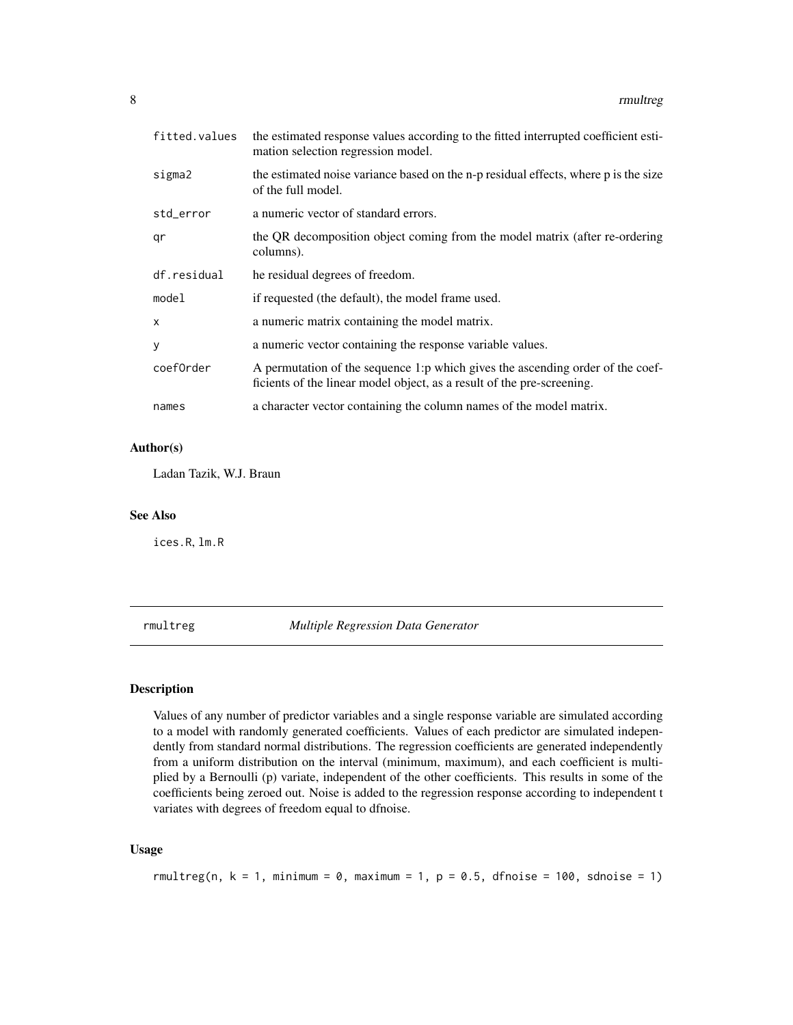<span id="page-7-0"></span>

| fitted.values | the estimated response values according to the fitted interrupted coefficient esti-<br>mation selection regression model.                                |
|---------------|----------------------------------------------------------------------------------------------------------------------------------------------------------|
| sigma2        | the estimated noise variance based on the n-p residual effects, where p is the size<br>of the full model.                                                |
| std_error     | a numeric vector of standard errors.                                                                                                                     |
| qr            | the QR decomposition object coming from the model matrix (after re-ordering<br>columns).                                                                 |
| df.residual   | he residual degrees of freedom.                                                                                                                          |
| model         | if requested (the default), the model frame used.                                                                                                        |
| X             | a numeric matrix containing the model matrix.                                                                                                            |
| У             | a numeric vector containing the response variable values.                                                                                                |
| coef0rder     | A permutation of the sequence 1:p which gives the ascending order of the coef-<br>ficients of the linear model object, as a result of the pre-screening. |
| names         | a character vector containing the column names of the model matrix.                                                                                      |

#### Author(s)

Ladan Tazik, W.J. Braun

#### See Also

ices.R, lm.R

rmultreg *Multiple Regression Data Generator*

#### Description

Values of any number of predictor variables and a single response variable are simulated according to a model with randomly generated coefficients. Values of each predictor are simulated independently from standard normal distributions. The regression coefficients are generated independently from a uniform distribution on the interval (minimum, maximum), and each coefficient is multiplied by a Bernoulli (p) variate, independent of the other coefficients. This results in some of the coefficients being zeroed out. Noise is added to the regression response according to independent t variates with degrees of freedom equal to dfnoise.

#### Usage

```
rmultreg(n, k = 1, minimum = 0, maximum = 1, p = 0.5, dfnoise = 100, sdnoise = 1)
```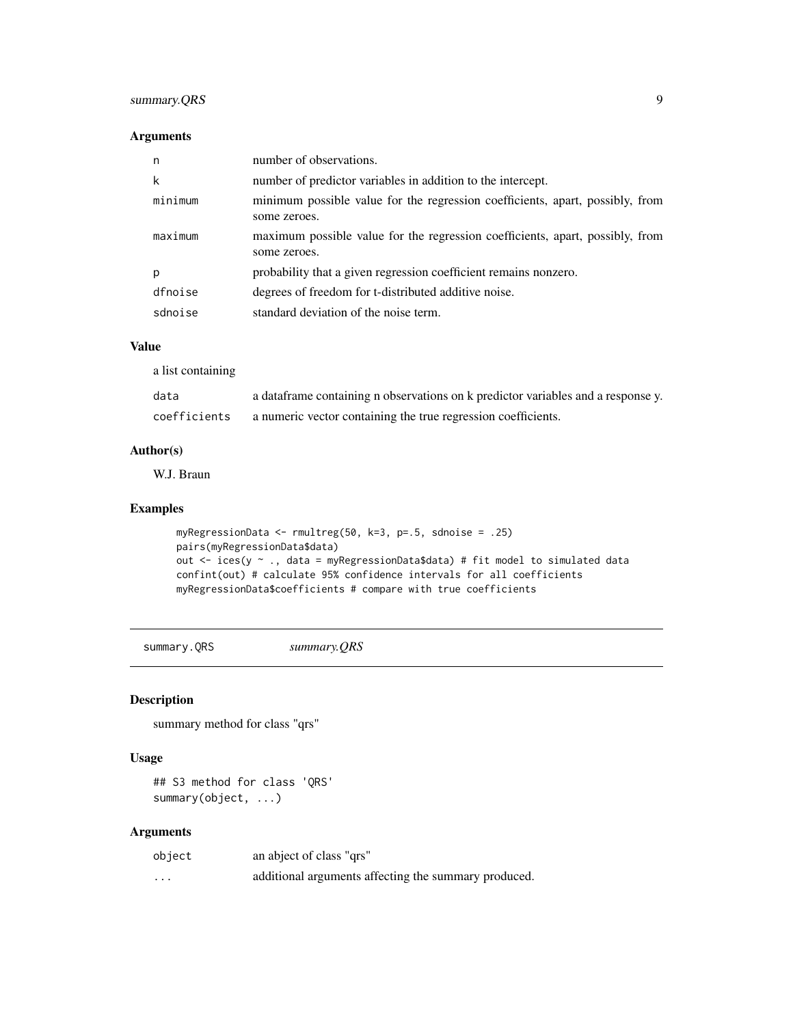#### <span id="page-8-0"></span>summary.QRS 9

#### Arguments

| n       | number of observations.                                                                       |
|---------|-----------------------------------------------------------------------------------------------|
| k       | number of predictor variables in addition to the intercept.                                   |
| minimum | minimum possible value for the regression coefficients, apart, possibly, from<br>some zeroes. |
| maximum | maximum possible value for the regression coefficients, apart, possibly, from<br>some zeroes. |
| р       | probability that a given regression coefficient remains nonzero.                              |
| dfnoise | degrees of freedom for t-distributed additive noise.                                          |
| sdnoise | standard deviation of the noise term.                                                         |

#### Value

a list containing

| data         | a data frame containing n observations on k predictor variables and a response y. |
|--------------|-----------------------------------------------------------------------------------|
| coefficients | a numeric vector containing the true regression coefficients.                     |

#### Author(s)

W.J. Braun

#### Examples

```
myRegressionData <- rmultreg(50, k=3, p=.5, sdnoise = .25)
pairs(myRegressionData$data)
out <- ices(y ~ ., data = myRegressionData$data) # fit model to simulated data
confint(out) # calculate 95% confidence intervals for all coefficients
myRegressionData$coefficients # compare with true coefficients
```
summary.QRS *summary.QRS*

#### Description

summary method for class "qrs"

#### Usage

## S3 method for class 'QRS' summary(object, ...)

#### Arguments

| object            | an abject of class "qrs"                             |
|-------------------|------------------------------------------------------|
| $\cdot\cdot\cdot$ | additional arguments affecting the summary produced. |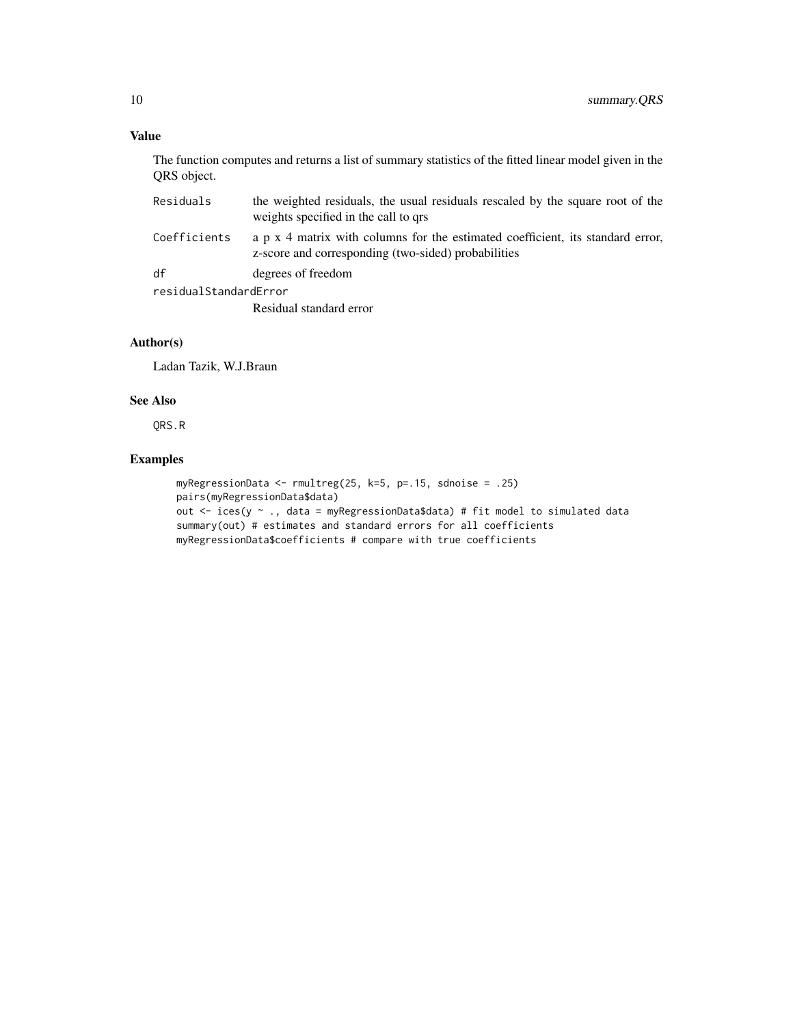#### Value

The function computes and returns a list of summary statistics of the fitted linear model given in the QRS object.

| Residuals             | the weighted residuals, the usual residuals rescaled by the square root of the<br>weights specified in the call to grs                |
|-----------------------|---------------------------------------------------------------------------------------------------------------------------------------|
| Coefficients          | a p x 4 matrix with columns for the estimated coefficient, its standard error,<br>z-score and corresponding (two-sided) probabilities |
| df                    | degrees of freedom                                                                                                                    |
| residualStandardError |                                                                                                                                       |
|                       | Residual standard error                                                                                                               |

#### Author(s)

Ladan Tazik, W.J.Braun

#### See Also

QRS.R

#### Examples

```
myRegressionData <- rmultreg(25, k=5, p=.15, sdnoise = .25)
pairs(myRegressionData$data)
out <- ices(y ~ ., data = myRegressionData$data) # fit model to simulated data
summary(out) # estimates and standard errors for all coefficients
myRegressionData$coefficients # compare with true coefficients
```